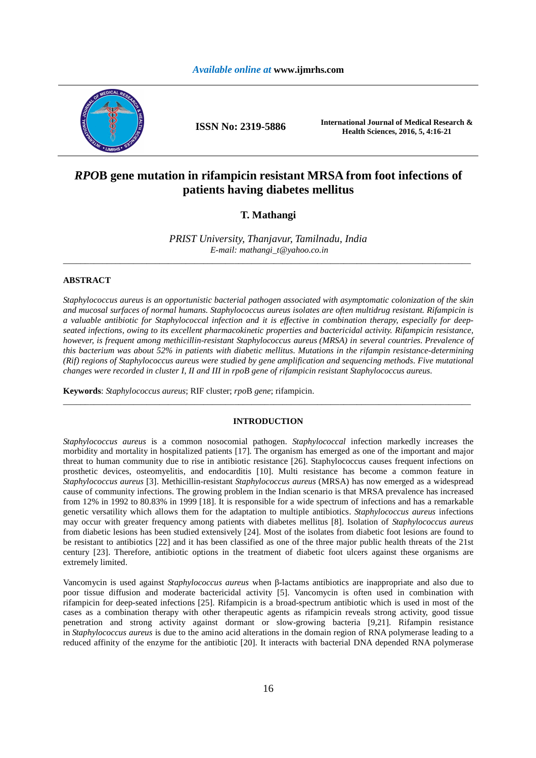# *Available online at* **www.ijmrhs.com**



**ISSN No: 2319-5886 International Journal of Medical Research & Health Sciences, 2016, 5, 4:16-21** 

# *RPO***B gene mutation in rifampicin resistant MRSA from foot infections of patients having diabetes mellitus**

# **T. Mathangi**

*PRIST University, Thanjavur, Tamilnadu, India E-mail: mathangi\_t@yahoo.co.in*  \_\_\_\_\_\_\_\_\_\_\_\_\_\_\_\_\_\_\_\_\_\_\_\_\_\_\_\_\_\_\_\_\_\_\_\_\_\_\_\_\_\_\_\_\_\_\_\_\_\_\_\_\_\_\_\_\_\_\_\_\_\_\_\_\_\_\_\_\_\_\_\_\_\_\_\_\_\_\_\_\_\_\_\_\_\_\_\_\_\_\_\_\_

# **ABSTRACT**

*Staphylococcus aureus is an opportunistic bacterial pathogen associated with asymptomatic colonization of the skin and mucosal surfaces of normal humans. Staphylococcus aureus isolates are often multidrug resistant. Rifampicin is a valuable antibiotic for Staphylococcal infection and it is effective in combination therapy, especially for deepseated infections, owing to its excellent pharmacokinetic properties and bactericidal activity. Rifampicin resistance, however, is frequent among methicillin-resistant Staphylococcus aureus (MRSA) in several countries. Prevalence of this bacterium was about 52% in patients with diabetic mellitus. Mutations in the rifampin resistance-determining (Rif) regions of Staphylococcus aureus were studied by gene amplification and sequencing methods. Five mutational changes were recorded in cluster I, II and III in rpoB gene of rifampicin resistant Staphylococcus aureus.* 

**Keywords**: *Staphylococcus aureus*; RIF cluster; *rpo*B *gene*; rifampicin.

### **INTRODUCTION**

\_\_\_\_\_\_\_\_\_\_\_\_\_\_\_\_\_\_\_\_\_\_\_\_\_\_\_\_\_\_\_\_\_\_\_\_\_\_\_\_\_\_\_\_\_\_\_\_\_\_\_\_\_\_\_\_\_\_\_\_\_\_\_\_\_\_\_\_\_\_\_\_\_\_\_\_\_\_\_\_\_\_\_\_\_\_\_\_\_\_\_\_\_

*Staphylococcus aureus* is a common nosocomial pathogen. *Staphylococcal* infection markedly increases the morbidity and mortality in hospitalized patients [17]. The organism has emerged as one of the important and major threat to human community due to rise in antibiotic resistance [26]. Staphylococcus causes frequent infections on prosthetic devices, osteomyelitis, and endocarditis [10]. Multi resistance has become a common feature in *Staphylococcus aureus* [3]. Methicillin-resistant *Staphylococcus aureus* (MRSA) has now emerged as a widespread cause of community infections. The growing problem in the Indian scenario is that MRSA prevalence has increased from 12% in 1992 to 80.83% in 1999 [18]. It is responsible for a wide spectrum of infections and has a remarkable genetic versatility which allows them for the adaptation to multiple antibiotics. *Staphylococcus aureus* infections may occur with greater frequency among patients with diabetes mellitus [8]. Isolation of *Staphylococcus aureus* from diabetic lesions has been studied extensively [24]. Most of the isolates from diabetic foot lesions are found to be resistant to antibiotics [22] and it has been classified as one of the three major public health threats of the 21st century [23]. Therefore, antibiotic options in the treatment of diabetic foot ulcers against these organisms are extremely limited.

Vancomycin is used against *Staphylococcus aureus* when β-lactams antibiotics are inappropriate and also due to poor tissue diffusion and moderate bactericidal activity [5]. Vancomycin is often used in combination with rifampicin for deep-seated infections [25]. Rifampicin is a broad-spectrum antibiotic which is used in most of the cases as a combination therapy with other therapeutic agents as rifampicin reveals strong activity, good tissue penetration and strong activity against dormant or slow-growing bacteria [9,21]. Rifampin resistance in *Staphylococcus aureus* is due to the amino acid alterations in the domain region of RNA polymerase leading to a reduced affinity of the enzyme for the antibiotic [20]. It interacts with bacterial DNA depended RNA polymerase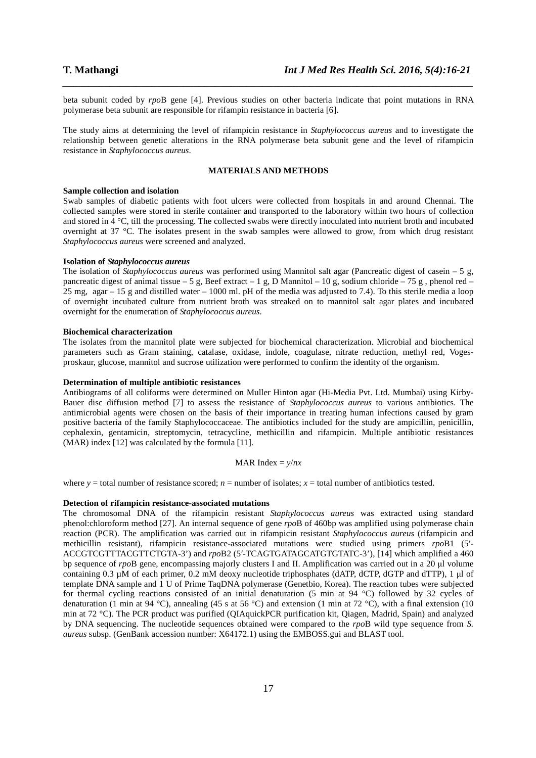beta subunit coded by *rpo*B gene [4]. Previous studies on other bacteria indicate that point mutations in RNA polymerase beta subunit are responsible for rifampin resistance in bacteria [6].

*\_\_\_\_\_\_\_\_\_\_\_\_\_\_\_\_\_\_\_\_\_\_\_\_\_\_\_\_\_\_\_\_\_\_\_\_\_\_\_\_\_\_\_\_\_\_\_\_\_\_\_\_\_\_\_\_\_\_\_\_\_\_\_\_\_\_\_\_\_\_\_\_\_\_\_\_\_\_*

The study aims at determining the level of rifampicin resistance in *Staphylococcus aureus* and to investigate the relationship between genetic alterations in the RNA polymerase beta subunit gene and the level of rifampicin resistance in *Staphylococcus aureus*.

# **MATERIALS AND METHODS**

### **Sample collection and isolation**

Swab samples of diabetic patients with foot ulcers were collected from hospitals in and around Chennai. The collected samples were stored in sterile container and transported to the laboratory within two hours of collection and stored in 4 °C, till the processing. The collected swabs were directly inoculated into nutrient broth and incubated overnight at 37 °C. The isolates present in the swab samples were allowed to grow, from which drug resistant *Staphylococcus aureus* were screened and analyzed.

### **Isolation of** *Staphylococcus aureus*

The isolation of *Staphylococcus aureus* was performed using Mannitol salt agar (Pancreatic digest of casein – 5 g, pancreatic digest of animal tissue – 5 g, Beef extract – 1 g, D Mannitol – 10 g, sodium chloride – 75 g, phenol red – 25 mg, agar – 15 g and distilled water – 1000 ml. pH of the media was adjusted to 7.4). To this sterile media a loop of overnight incubated culture from nutrient broth was streaked on to mannitol salt agar plates and incubated overnight for the enumeration of *Staphylococcus aureus*.

# **Biochemical characterization**

The isolates from the mannitol plate were subjected for biochemical characterization. Microbial and biochemical parameters such as Gram staining, catalase, oxidase, indole, coagulase, nitrate reduction, methyl red, Vogesproskaur, glucose, mannitol and sucrose utilization were performed to confirm the identity of the organism.

# **Determination of multiple antibiotic resistances**

Antibiograms of all coliforms were determined on Muller Hinton agar (Hi-Media Pvt. Ltd. Mumbai) using Kirby-Bauer disc diffusion method [7] to assess the resistance of *Staphylococcus aureus* to various antibiotics. The antimicrobial agents were chosen on the basis of their importance in treating human infections caused by gram positive bacteria of the family Staphylococcaceae. The antibiotics included for the study are ampicillin, penicillin, cephalexin, gentamicin, streptomycin, tetracycline, methicillin and rifampicin. Multiple antibiotic resistances (MAR) index [12] was calculated by the formula [11].

### MAR Index =  $v/nx$

where  $y =$  total number of resistance scored;  $n =$  number of isolates;  $x =$  total number of antibiotics tested.

### **Detection of rifampicin resistance-associated mutations**

The chromosomal DNA of the rifampicin resistant *Staphylococcus aureus* was extracted using standard phenol:chloroform method [27]. An internal sequence of gene *rpo*B of 460bp was amplified using polymerase chain reaction (PCR). The amplification was carried out in rifampicin resistant *Staphylococcus aureus* (rifampicin and methicillin resistant), rifampicin resistance-associated mutations were studied using primers *rpo*B1 (5′- ACCGTCGTTTACGTTCTGTA-3') and *rpo*B2 (5′-TCAGTGATAGCATGTGTATC-3'), [14] which amplified a 460 bp sequence of *rpo*B gene, encompassing majorly clusters I and II. Amplification was carried out in a 20 µl volume containing 0.3 µM of each primer, 0.2 mM deoxy nucleotide triphosphates (dATP, dCTP, dGTP and dTTP), 1 µl of template DNA sample and 1 U of Prime TaqDNA polymerase (Genetbio, Korea). The reaction tubes were subjected for thermal cycling reactions consisted of an initial denaturation (5 min at 94 °C) followed by 32 cycles of denaturation (1 min at 94 °C), annealing (45 s at 56 °C) and extension (1 min at 72 °C), with a final extension (10 min at 72 °C). The PCR product was purified (QIAquickPCR purification kit, Qiagen, Madrid, Spain) and analyzed by DNA sequencing. The nucleotide sequences obtained were compared to the *rpo*B wild type sequence from *S. aureus* subsp. (GenBank accession number: X64172.1) using the EMBOSS.gui and BLAST tool.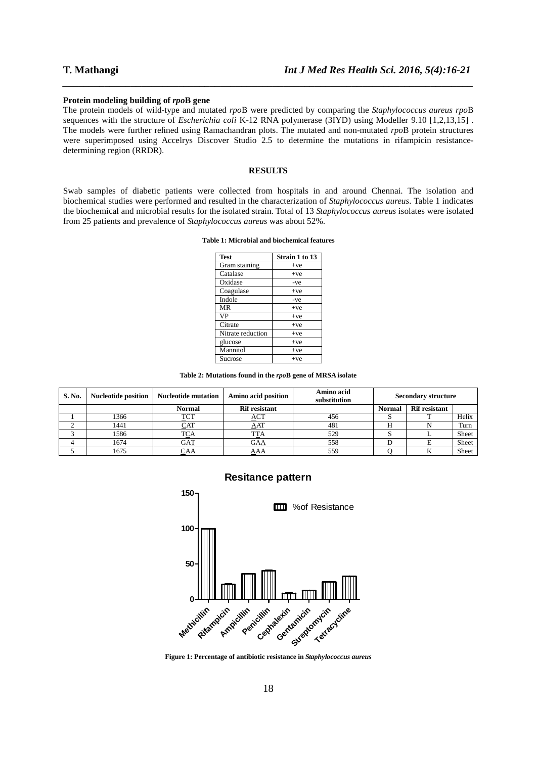### **Protein modeling building of** *rpo***B gene**

The protein models of wild-type and mutated *rpo*B were predicted by comparing the *Staphylococcus aureus rpo*B sequences with the structure of *Escherichia coli* K-12 RNA polymerase (3IYD) using Modeller 9.10 [1,2,13,15] . The models were further refined using Ramachandran plots. The mutated and non-mutated *rpo*B protein structures were superimposed using Accelrys Discover Studio 2.5 to determine the mutations in rifampicin resistancedetermining region (RRDR).

*\_\_\_\_\_\_\_\_\_\_\_\_\_\_\_\_\_\_\_\_\_\_\_\_\_\_\_\_\_\_\_\_\_\_\_\_\_\_\_\_\_\_\_\_\_\_\_\_\_\_\_\_\_\_\_\_\_\_\_\_\_\_\_\_\_\_\_\_\_\_\_\_\_\_\_\_\_\_*

# **RESULTS**

Swab samples of diabetic patients were collected from hospitals in and around Chennai. The isolation and biochemical studies were performed and resulted in the characterization of *Staphylococcus aureus*. Table 1 indicates the biochemical and microbial results for the isolated strain. Total of 13 *Staphylococcus aureus* isolates were isolated from 25 patients and prevalence of *Staphylococcus aureus* was about 52%.

### **Table 1: Microbial and biochemical features**

| <b>Test</b>       | Strain 1 to 13 |  |  |
|-------------------|----------------|--|--|
| Gram staining     | $+ve$          |  |  |
| Catalase          | $+ve$          |  |  |
| Oxidase           | -ve            |  |  |
| Coagulase         | $+ve$          |  |  |
| Indole            | $-ve$          |  |  |
| MR                | $+ve$          |  |  |
| VP                | $+ve$          |  |  |
| Citrate           | $+ve$          |  |  |
| Nitrate reduction | $+ve$          |  |  |
| glucose           | $+ve$          |  |  |
| Mannitol          | $+ve$          |  |  |
| Sucrose           | $+ve$          |  |  |

**Table 2: Mutations found in the** *rpo***B gene of MRSA isolate** 

| S. No. | <b>Nucleotide position</b> | <b>Nucleotide mutation</b> | Amino acid position  | Amino acid<br>substitution | <b>Secondary structure</b> |                      |       |
|--------|----------------------------|----------------------------|----------------------|----------------------------|----------------------------|----------------------|-------|
|        |                            | <b>Normal</b>              | <b>Rif resistant</b> |                            | <b>Normal</b>              | <b>Rif resistant</b> |       |
|        | 1366                       | TCT                        | ACT                  | 456                        |                            |                      | Helix |
|        | 1441                       | CAT                        | AAT                  | 481                        |                            |                      | Turn  |
|        | 1586                       | TCA                        |                      | 529                        |                            |                      | Sheet |
|        | 1674                       | GAT                        | GAA                  | 558                        |                            |                      | Sheet |
|        | 1675                       | CAA                        | AAA                  | 559                        |                            |                      | Sheet |

# **Resitance pattern**



**Figure 1: Percentage of antibiotic resistance in** *Staphylococcus aureus*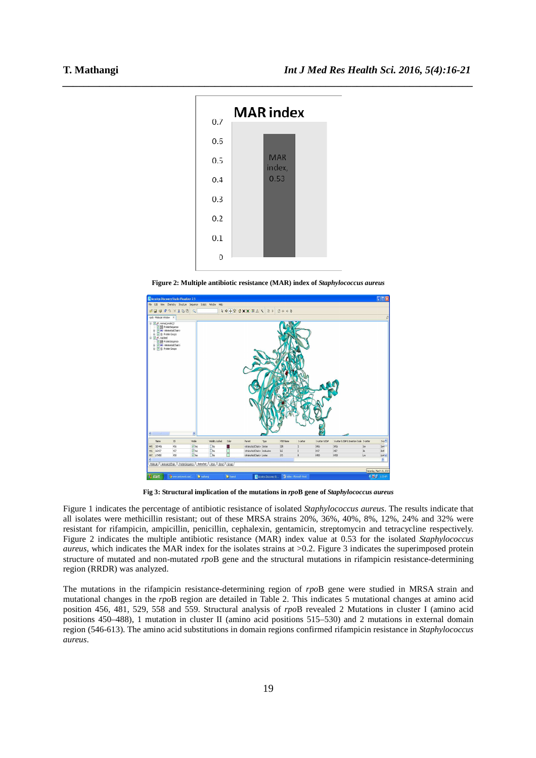

**Figure 2: Multiple antibiotic resistance (MAR) index of** *Staphylococcus aureus*



**Fig 3: Structural implication of the mutations in** *rpo***B gene of** *Staphylococcus aureus* 

Figure 1 indicates the percentage of antibiotic resistance of isolated *Staphylococcus aureus*. The results indicate that all isolates were methicillin resistant; out of these MRSA strains 20%, 36%, 40%, 8%, 12%, 24% and 32% were resistant for rifampicin, ampicillin, penicillin, cephalexin, gentamicin, streptomycin and tetracycline respectively. Figure 2 indicates the multiple antibiotic resistance (MAR) index value at 0.53 for the isolated *Staphylococcus aureus*, which indicates the MAR index for the isolates strains at >0.2. Figure 3 indicates the superimposed protein structure of mutated and non-mutated *rpo*B gene and the structural mutations in rifampicin resistance-determining region (RRDR) was analyzed.

The mutations in the rifampicin resistance-determining region of *rpo*B gene were studied in MRSA strain and mutational changes in the *rpo*B region are detailed in Table 2. This indicates 5 mutational changes at amino acid position 456, 481, 529, 558 and 559. Structural analysis of *rpo*B revealed 2 Mutations in cluster I (amino acid positions 450–488), 1 mutation in cluster II (amino acid positions 515–530) and 2 mutations in external domain region (546-613). The amino acid substitutions in domain regions confirmed rifampicin resistance in *Staphylococcus aureus*.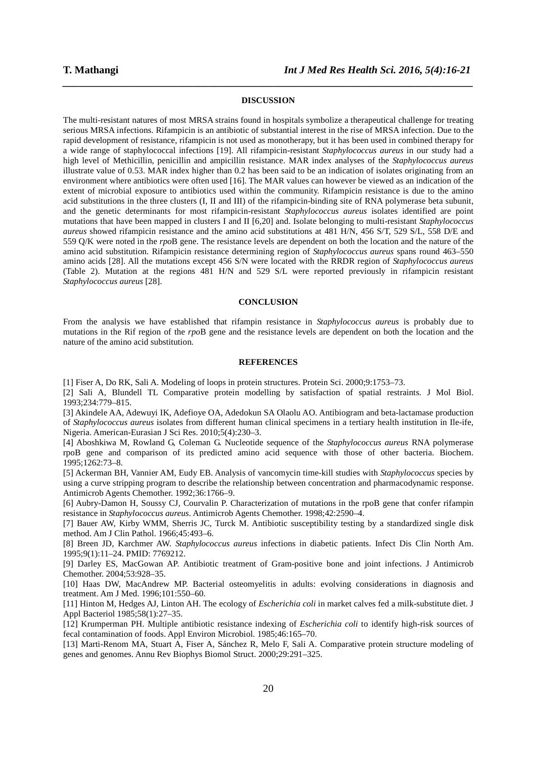### **DISCUSSION**

*\_\_\_\_\_\_\_\_\_\_\_\_\_\_\_\_\_\_\_\_\_\_\_\_\_\_\_\_\_\_\_\_\_\_\_\_\_\_\_\_\_\_\_\_\_\_\_\_\_\_\_\_\_\_\_\_\_\_\_\_\_\_\_\_\_\_\_\_\_\_\_\_\_\_\_\_\_\_*

The multi-resistant natures of most MRSA strains found in hospitals symbolize a therapeutical challenge for treating serious MRSA infections. Rifampicin is an antibiotic of substantial interest in the rise of MRSA infection. Due to the rapid development of resistance, rifampicin is not used as monotherapy, but it has been used in combined therapy for a wide range of staphylococcal infections [19]. All rifampicin-resistant *Staphylococcus aureus* in our study had a high level of Methicillin, penicillin and ampicillin resistance. MAR index analyses of the *Staphylococcus aureus* illustrate value of 0.53. MAR index higher than 0.2 has been said to be an indication of isolates originating from an environment where antibiotics were often used [16]. The MAR values can however be viewed as an indication of the extent of microbial exposure to antibiotics used within the community. Rifampicin resistance is due to the amino acid substitutions in the three clusters (I, II and III) of the rifampicin-binding site of RNA polymerase beta subunit, and the genetic determinants for most rifampicin-resistant *Staphylococcus aureus* isolates identified are point mutations that have been mapped in clusters I and II [6,20] and. Isolate belonging to multi-resistant *Staphylococcus aureus* showed rifampicin resistance and the amino acid substitutions at 481 H/N, 456 S/T, 529 S/L, 558 D/E and 559 Q/K were noted in the *rpo*B gene. The resistance levels are dependent on both the location and the nature of the amino acid substitution. Rifampicin resistance determining region of *Staphylococcus aureus* spans round 463–550 amino acids [28]. All the mutations except 456 S/N were located with the RRDR region of *Staphylococcus aureus* (Table 2). Mutation at the regions 481 H/N and 529 S/L were reported previously in rifampicin resistant *Staphylococcus aureus* [28].

# **CONCLUSION**

From the analysis we have established that rifampin resistance in *Staphylococcus aureus* is probably due to mutations in the Rif region of the *rpo*B gene and the resistance levels are dependent on both the location and the nature of the amino acid substitution.

# **REFERENCES**

[1] Fiser A, Do RK, Sali A. Modeling of loops in protein structures. Protein Sci. 2000;9:1753–73.

[2] Sali A, Blundell TL Comparative protein modelling by satisfaction of spatial restraints. J Mol Biol. 1993;234:779–815.

[3] Akindele AA, Adewuyi IK, Adefioye OA, Adedokun SA Olaolu AO. Antibiogram and beta-lactamase production of *Staphylococcus aureus* isolates from different human clinical specimens in a tertiary health institution in Ile-ife, Nigeria. American-Eurasian J Sci Res. 2010;5(4):230–3.

[4] Aboshkiwa M, Rowland G, Coleman G. Nucleotide sequence of the *Staphylococcus aureus* RNA polymerase rpoB gene and comparison of its predicted amino acid sequence with those of other bacteria. Biochem. 1995;1262:73–8.

[5] Ackerman BH, Vannier AM, Eudy EB. Analysis of vancomycin time-kill studies with *Staphylococcus* species by using a curve stripping program to describe the relationship between concentration and pharmacodynamic response. Antimicrob Agents Chemother. 1992;36:1766–9.

[6] Aubry-Damon H, Soussy CJ, Courvalin P. Characterization of mutations in the rpoB gene that confer rifampin resistance in *Staphylococcus aureus*. Antimicrob Agents Chemother. 1998;42:2590–4.

[7] Bauer AW, Kirby WMM, Sherris JC, Turck M. Antibiotic susceptibility testing by a standardized single disk method. Am J Clin Pathol. 1966;45:493–6.

[8] Breen JD, Karchmer AW. *Staphylococcus aureus* infections in diabetic patients. Infect Dis Clin North Am. 1995;9(1):11–24. PMID: 7769212.

[9] Darley ES, MacGowan AP. Antibiotic treatment of Gram-positive bone and joint infections. J Antimicrob Chemother. 2004;53:928–35.

[10] Haas DW, MacAndrew MP. Bacterial osteomyelitis in adults: evolving considerations in diagnosis and treatment. Am J Med. 1996;101:550–60.

[11] Hinton M, Hedges AJ, Linton AH. The ecology of *Escherichia coli* in market calves fed a milk-substitute diet. J Appl Bacteriol 1985;58(1):27–35.

[12] Krumperman PH. Multiple antibiotic resistance indexing of *Escherichia coli* to identify high-risk sources of fecal contamination of foods. Appl Environ Microbiol. 1985;46:165–70.

[13] Marti-Renom MA, Stuart A, Fiser A, Sánchez R, Melo F, Sali A. Comparative protein structure modeling of genes and genomes. Annu Rev Biophys Biomol Struct. 2000;29:291–325.